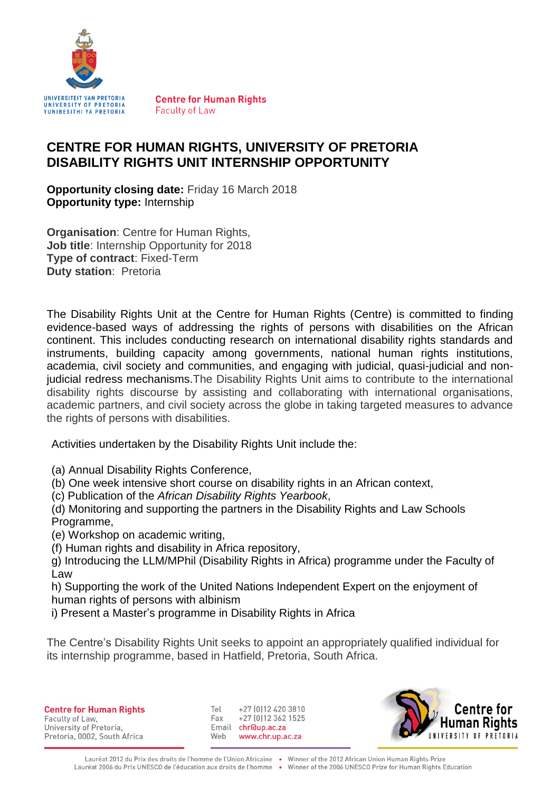

**Centre for Human Rights Faculty of Law** 

# **CENTRE FOR HUMAN RIGHTS, UNIVERSITY OF PRETORIA DISABILITY RIGHTS UNIT INTERNSHIP OPPORTUNITY**

**Opportunity closing date:** Friday 16 March 2018 **Opportunity type:** Internship

**Organisation: Centre for Human Rights, Job title**: Internship Opportunity for 2018 **Type of contract**: Fixed-Term **Duty station**: Pretoria

The Disability Rights Unit at the Centre for Human Rights (Centre) is committed to finding evidence-based ways of addressing the rights of persons with disabilities on the African continent. This includes conducting research on international disability rights standards and instruments, building capacity among governments, national human rights institutions, academia, civil society and communities, and engaging with judicial, quasi-judicial and nonjudicial redress mechanisms.The Disability Rights Unit aims to contribute to the international disability rights discourse by assisting and collaborating with international organisations, academic partners, and civil society across the globe in taking targeted measures to advance the rights of persons with disabilities.

Activities undertaken by the Disability Rights Unit include the:

(a) Annual Disability Rights Conference,

(b) One week intensive short course on disability rights in an African context,

(c) Publication of the *African Disability Rights Yearbook*,

(d) Monitoring and supporting the partners in the Disability Rights and Law Schools Programme,

(e) Workshop on academic writing,

(f) Human rights and disability in Africa repository,

g) Introducing the LLM/MPhil (Disability Rights in Africa) programme under the Faculty of Law

h) Supporting the work of the United Nations Independent Expert on the enjoyment of human rights of persons with albinism

i) Present a Master's programme in Disability Rights in Africa

The Centre's Disability Rights Unit seeks to appoint an appropriately qualified individual for its internship programme, based in Hatfield, Pretoria, South Africa.

**Centre for Human Rights** Faculty of Law. University of Pretoria, Pretoria, 0002, South Africa

+27 (0112 420 3810)  $T_{\Omega}$ +27 (0) 12 362 1525 Fax Email chr@up.ac.za Web www.chr.up.ac.za

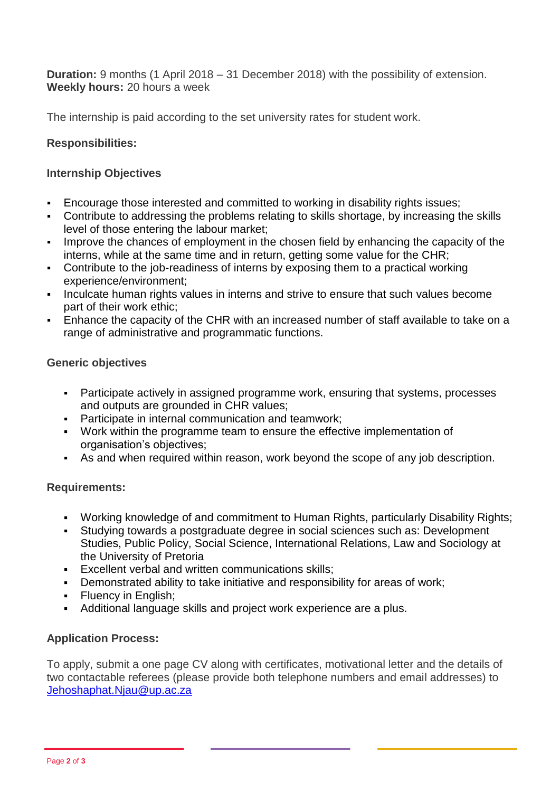**Duration:** 9 months (1 April 2018 – 31 December 2018) with the possibility of extension. **Weekly hours:** 20 hours a week

The internship is paid according to the set university rates for student work.

### **Responsibilities:**

#### **Internship Objectives**

- Encourage those interested and committed to working in disability rights issues;
- Contribute to addressing the problems relating to skills shortage, by increasing the skills level of those entering the labour market;
- Improve the chances of employment in the chosen field by enhancing the capacity of the interns, while at the same time and in return, getting some value for the CHR;
- Contribute to the job-readiness of interns by exposing them to a practical working experience/environment;
- Inculcate human rights values in interns and strive to ensure that such values become part of their work ethic;
- Enhance the capacity of the CHR with an increased number of staff available to take on a range of administrative and programmatic functions.

#### **Generic objectives**

- Participate actively in assigned programme work, ensuring that systems, processes and outputs are grounded in CHR values;
- **Participate in internal communication and teamwork;**
- Work within the programme team to ensure the effective implementation of organisation's objectives;
- As and when required within reason, work beyond the scope of any job description.

## **Requirements:**

- Working knowledge of and commitment to Human Rights, particularly Disability Rights;
- Studying towards a postgraduate degree in social sciences such as: Development Studies, Public Policy, Social Science, International Relations, Law and Sociology at the University of Pretoria
- Excellent verbal and written communications skills;
- Demonstrated ability to take initiative and responsibility for areas of work;
- Fluency in English;
- Additional language skills and project work experience are a plus.

## **Application Process:**

To apply, submit a one page CV along with certificates, motivational letter and the details of two contactable referees (please provide both telephone numbers and email addresses) to [Jehoshaphat.Njau@up.ac.za](mailto:Jehoshaphat.Njau@up.ac.za)